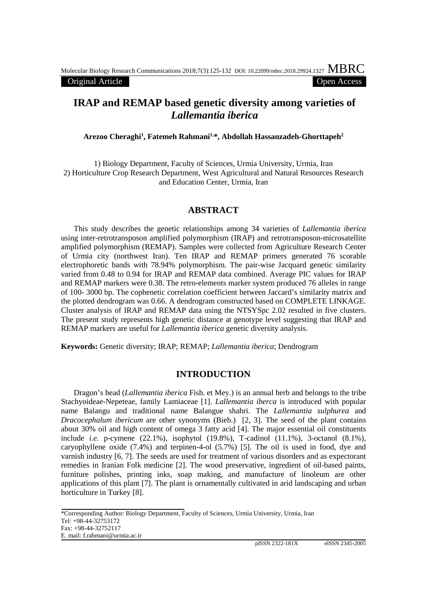#### Original Article Open Access

# **IRAP and REMAP based genetic diversity among varieties of**  *Lallemantia iberica*

**Arezoo Cheraghi1 , Fatemeh Rahmani1,\*, Abdollah Hassanzadeh-Ghorttapeh2**

1) Biology Department, Faculty of Sciences, Urmia University, Urmia, Iran 2) Horticulture Crop Research Department, West Agricultural and Natural Resources Research and Education Center, Urmia, Iran

# **ABSTRACT**

This study describes the genetic relationships among 34 varieties of *Lallemantia iberica*  using inter-retrotransposon amplified polymorphism (IRAP) and retrotransposon-microsatellite amplified polymorphism (REMAP). Samples were collected from Agriculture Research Center of Urmia city (northwest Iran). Ten IRAP and REMAP primers generated 76 scorable electrophoretic bands with 78.94% polymorphism. The pair-wise Jacquard genetic similarity varied from 0.48 to 0.94 for IRAP and REMAP data combined. Average PIC values for IRAP and REMAP markers were 0.38. The retro-elements marker system produced 76 alleles in range of 100- 3000 bp. The cophenetic correlation coefficient between Jaccard's similarity matrix and the plotted dendrogram was 0.66. A dendrogram constructed based on COMPLETE LINKAGE. Cluster analysis of IRAP and REMAP data using the NTSYSpc 2.02 resulted in five clusters. The present study represents high genetic distance at genotype level suggesting that IRAP and REMAP markers are useful for *Lallemantia iberica* genetic diversity analysis.

**Keywords:** Genetic diversity; IRAP; REMAP; *Lallemantia iberica*; Dendrogram

### **INTRODUCTION**

Dragon's head (*Lallemantia iberica* Fish. et Mey.) is an annual herb and belongs to the tribe Stachyoideae-Nepeteae, family Lamiaceae [1]. *Lallemantia iberca* is introduced with popular name Balangu and traditional name Balangue shahri. The *Lallemantia sulphurea* and *Dracocephalum ibericum* are other synonyms (Bieb.) [2, 3]. The seed of the plant contains about 30% oil and high content of omega 3 fatty acid [4]. The major essential oil constituents include *i.e.* p-cymene (22.1%), isophytol (19.8%), T-cadinol (11.1%), 3-octanol (8.1%), caryophyllene oxide (7.4%) and terpinen-4-ol (5.7%) [5]. The oil is used in food, dye and varnish industry [6, 7]. The seeds are used for treatment of various disorders and as expectorant remedies in Iranian Folk medicine [2]. The wood preservative, ingredient of oil-based paints, furniture polishes, printing inks, soap making, and manufacture of linoleum are other applications of this plant [7]. The plant is ornamentally cultivated in arid landscaping and urban horticulture in Turkey [8].

\*Corresponding Author: Biology Department, Faculty of Sciences, Urmia University, Urmia, Iran Tel: +98-44-32753172 Fax: +98-44-32752117 E. mail: [f.rahmani@urmia.ac.ir](mailto:f.rahmani@urmia.ac.ir)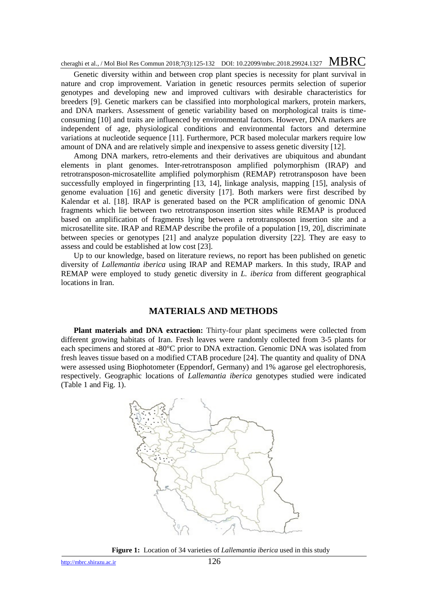Genetic diversity within and between crop plant species is necessity for plant survival in nature and crop improvement. Variation in genetic resources permits selection of superior genotypes and developing new and improved cultivars with desirable characteristics for breeders [9]. Genetic markers can be classified into morphological markers, protein markers, and DNA markers. Assessment of genetic variability based on morphological traits is timeconsuming [10] and traits are influenced by environmental factors. However, DNA markers are independent of age, physiological conditions and environmental factors and determine variations at nucleotide sequence [11]. Furthermore, PCR based molecular markers require low amount of DNA and are relatively simple and inexpensive to assess genetic diversity [12].

Among DNA markers, retro-elements and their derivatives are ubiquitous and abundant elements in plant genomes. Inter-retrotransposon amplified polymorphism (IRAP) and retrotransposon-microsatellite amplified polymorphism (REMAP) retrotransposon have been successfully employed in fingerprinting [13, 14], linkage analysis, mapping [15], analysis of genome evaluation [16] and genetic diversity [17]. Both markers were first described by Kalendar et al. [18]. IRAP is generated based on the PCR amplification of genomic DNA fragments which lie between two retrotransposon insertion sites while REMAP is produced based on amplification of fragments lying between a retrotransposon insertion site and a microsatellite site. IRAP and REMAP describe the profile of a population [19, 20], discriminate between species or genotypes [21] and analyze population diversity [22]. They are easy to assess and could be established at low cost [23].

Up to our knowledge, based on literature reviews, no report has been published on genetic diversity of *Lallemantia iberica* using IRAP and REMAP markers. In this study, IRAP and REMAP were employed to study genetic diversity in *L. iberica* from different geographical locations in Iran.

#### **MATERIALS AND METHODS**

**Plant materials and DNA extraction:** Thirty-four plant specimens were collected from different growing habitats of Iran. Fresh leaves were randomly collected from 3-5 plants for each specimens and stored at -80°C prior to DNA extraction. Genomic DNA was isolated from fresh leaves tissue based on a modified CTAB procedure [24]. The quantity and quality of DNA were assessed using Biophotometer (Eppendorf, Germany) and 1% agarose gel electrophoresis, respectively. Geographic locations of *Lallemantia iberica* genotypes studied were indicated (Table 1 and Fig. 1).



**Figure 1:** Location of 34 varieties of *Lallemantia iberica* used in this study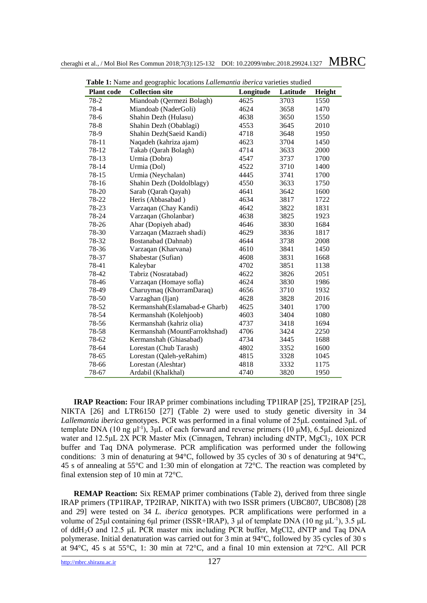| Table 1: Name and geographic locations <i>Lallemantia iberica</i> varieties studied |                               |           |          |        |  |  |  |  |
|-------------------------------------------------------------------------------------|-------------------------------|-----------|----------|--------|--|--|--|--|
| <b>Plant</b> code                                                                   | <b>Collection site</b>        | Longitude | Latitude | Height |  |  |  |  |
| 78-2                                                                                | Miandoab (Qermezi Bolagh)     | 4625      | 3703     | 1550   |  |  |  |  |
| 78-4                                                                                | Miandoab (NaderGoli)          | 4624      | 3658     | 1470   |  |  |  |  |
| 78-6                                                                                | Shahin Dezh (Hulasu)          | 4638      | 3650     | 1550   |  |  |  |  |
| 78-8                                                                                | Shahin Dezh (Obablagi)        | 4553      | 3645     | 2010   |  |  |  |  |
| 78-9                                                                                | Shahin Dezh(Saeid Kandi)      | 4718      | 3648     | 1950   |  |  |  |  |
| 78-11                                                                               | Naqadeh (kahriza ajam)        | 4623      | 3704     | 1450   |  |  |  |  |
| 78-12                                                                               | Takab (Qarah Bolagh)          | 4714      | 3633     | 2000   |  |  |  |  |
| 78-13                                                                               | Urmia (Dobra)                 | 4547      | 3737     | 1700   |  |  |  |  |
| 78-14                                                                               | Urmia (Dol)                   | 4522      | 3710     | 1400   |  |  |  |  |
| 78-15                                                                               | Urmia (Neychalan)             | 4445      | 3741     | 1700   |  |  |  |  |
| 78-16                                                                               | Shahin Dezh (Doldolblagy)     | 4550      | 3633     | 1750   |  |  |  |  |
| 78-20                                                                               | Sarab (Qarah Qayah)           | 4641      | 3642     | 1600   |  |  |  |  |
| 78-22                                                                               | Heris (Abbasabad)             | 4634      | 3817     | 1722   |  |  |  |  |
| 78-23                                                                               | Varzaqan (Chay Kandi)         | 4642      | 3822     | 1831   |  |  |  |  |
| 78-24                                                                               | Varzaqan (Gholanbar)          | 4638      | 3825     | 1923   |  |  |  |  |
| 78-26                                                                               | Ahar (Dopiyeh abad)           | 4646      | 3830     | 1684   |  |  |  |  |
| 78-30                                                                               | Varzaqan (Mazraeh shadi)      | 4629      | 3836     | 1817   |  |  |  |  |
| 78-32                                                                               | Bostanabad (Dahnab)           | 4644      | 3738     | 2008   |  |  |  |  |
| 78-36                                                                               | Varzaqan (Kharvana)           | 4610      | 3841     | 1450   |  |  |  |  |
| 78-37                                                                               | Shabestar (Sufian)            | 4608      | 3831     | 1668   |  |  |  |  |
| 78-41                                                                               | Kaleybar                      | 4702      | 3851     | 1138   |  |  |  |  |
| 78-42                                                                               | Tabriz (Nosratabad)           | 4622      | 3826     | 2051   |  |  |  |  |
| 78-46                                                                               | Varzaqan (Homaye sofla)       | 4624      | 3830     | 1986   |  |  |  |  |
| 78-49                                                                               | Charuymaq (KhorramDaraq)      | 4656      | 3710     | 1932   |  |  |  |  |
| 78-50                                                                               | Varzaghan (Ijan)              | 4628      | 3828     | 2016   |  |  |  |  |
| 78-52                                                                               | Kermanshah(Eslamabad-e Gharb) | 4625      | 3401     | 1700   |  |  |  |  |
| 78-54                                                                               | Kermanshah (Kolehjoob)        | 4603      | 3404     | 1080   |  |  |  |  |
| 78-56                                                                               | Kermanshah (kahriz olia)      | 4737      | 3418     | 1694   |  |  |  |  |
| 78-58                                                                               | Kermanshah (MountFarrokhshad) | 4706      | 3424     | 2250   |  |  |  |  |
| 78-62                                                                               | Kermanshah (Ghiasabad)        | 4734      | 3445     | 1688   |  |  |  |  |
| 78-64                                                                               | Lorestan (Chub Tarash)        | 4802      | 3352     | 1600   |  |  |  |  |
| 78-65                                                                               | Lorestan (Qaleh-yeRahim)      | 4815      | 3328     | 1045   |  |  |  |  |
| 78-66                                                                               | Lorestan (Aleshtar)           | 4818      | 3332     | 1175   |  |  |  |  |
| 78-67                                                                               | Ardabil (Khalkhal)            | 4740      | 3820     | 1950   |  |  |  |  |

**IRAP Reaction:** Four IRAP primer combinations including TP1IRAP [25], TP2IRAP [25], NIKTA [26] and LTR6150 [27] (Table 2) were used to study genetic diversity in 34 *Lallemantia iberica* genotypes. PCR was performed in a final volume of 25μL contained 3μL of template DNA (10 ng μl<sup>-1</sup>), 3μL of each forward and reverse primers (10 μM), 6.5μL deionized water and 12.5μL 2X PCR Master Mix (Cinnagen, Tehran) including dNTP, MgCl<sub>2</sub>, 10X PCR buffer and Taq DNA polymerase. PCR amplification was performed under the following conditions: 3 min of denaturing at 94°C, followed by 35 cycles of 30 s of denaturing at 94°C, 45 s of annealing at 55°C and 1:30 min of elongation at 72°C. The reaction was completed by final extension step of 10 min at 72°C.

**REMAP Reaction:** Six REMAP primer combinations (Table 2), derived from three single IRAP primers (TP1IRAP, TP2IRAP, NIKITA) with two ISSR primers (UBC807, UBC808) [28 and 29] were tested on 34 *L. iberica* genotypes. PCR amplifications were performed in a volume of 25μl containing 6μl primer (ISSR+IRAP), 3 μl of template DNA (10 ng μL<sup>-1</sup>), 3.5 μL of ddH2O and 12.5 μL PCR master mix including PCR buffer, MgCl2, dNTP and Taq DNA polymerase. Initial denaturation was carried out for 3 min at 94°C, followed by 35 cycles of 30 s at 94°C, 45 s at 55°C, 1: 30 min at 72°C, and a final 10 min extension at 72°C. All PCR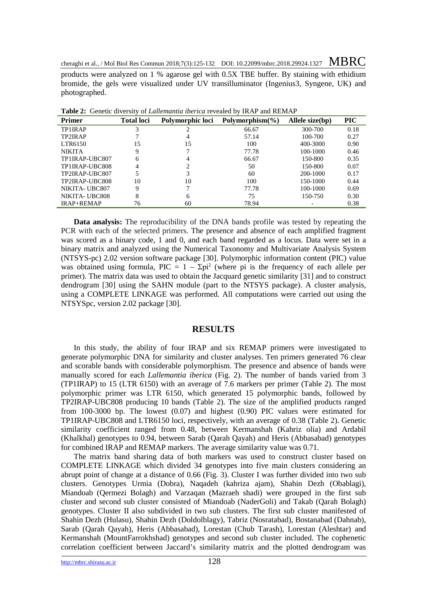products were analyzed on 1 % agarose gel with 0.5X TBE buffer. By staining with ethidium bromide, the gels were visualized under UV transilluminator (Ingenius3, Syngene, UK) and photographed.

| <b>Primer</b>     | <b>Total loci</b> | Polymorphic loci | Polymorphism $(\% )$ | Allele size(bp) | <b>PIC</b> |
|-------------------|-------------------|------------------|----------------------|-----------------|------------|
| TP1IRAP           | 3                 |                  | 66.67                | 300-700         | 0.18       |
| TP2IRAP           |                   |                  | 57.14                | 100-700         | 0.27       |
| LTR6150           | 15                | 15               | 100                  | 400-3000        | 0.90       |
| <b>NIKITA</b>     | 9                 |                  | 77.78                | 100-1000        | 0.46       |
| TP1IRAP-UBC807    | 6                 |                  | 66.67                | 150-800         | 0.35       |
| TP1IRAP-UBC808    | 4                 |                  | 50                   | 150-800         | 0.07       |
| TP2IRAP-UBC807    |                   |                  | 60                   | 200-1000        | 0.17       |
| TP2IRAP-UBC808    | 10                | 10               | 100                  | 150-1000        | 0.44       |
| NIKITA-UBC807     | Q                 |                  | 77.78                | 100-1000        | 0.69       |
| NIKITA-UBC808     | 8                 | 6                | 75                   | 150-750         | 0.30       |
| <b>IRAP+REMAP</b> | 76                | 60               | 78.94                |                 | 0.38       |

**Table 2:** Genetic diversity of *Lallemantia iberica* revealed by IRAP and REMAP

**Data analysis:** The reproducibility of the DNA bands profile was tested by repeating the PCR with each of the selected primers. The presence and absence of each amplified fragment was scored as a binary code, 1 and 0, and each band regarded as a locus. Data were set in a binary matrix and analyzed using the Numerical Taxonomy and Multivariate Analysis System (NTSYS-pc) 2.02 version software package [30]. Polymorphic information content (PIC) value was obtained using formula, PIC =  $1 - \Sigma$ pi<sup>2</sup> (where pi is the frequency of each allele per primer). The matrix data was used to obtain the Jacquard genetic similarity [31] and to construct dendrogram [30] using the SAHN module (part to the NTSYS package). A cluster analysis, using a COMPLETE LINKAGE was performed. All computations were carried out using the NTSYSpc, version 2.02 package [30].

#### **RESULTS**

In this study, the ability of four IRAP and six REMAP primers were investigated to generate polymorphic DNA for similarity and cluster analyses. Ten primers generated 76 clear and scorable bands with considerable polymorphism. The presence and absence of bands were manually scored for each *Lallemantia iberica* (Fig. 2). The number of bands varied from 3 (TP1IRAP) to 15 (LTR 6150) with an average of 7.6 markers per primer (Table 2). The most polymorphic primer was LTR 6150, which generated 15 polymorphic bands, followed by TP2IRAP-UBC808 producing 10 bands (Table 2). The size of the amplified products ranged from 100-3000 bp. The lowest (0.07) and highest (0.90) PIC values were estimated for TP1IRAP-UBC808 and LTR6150 loci, respectively, with an average of 0.38 (Table 2). Genetic similarity coefficient ranged from 0.48, between Kermanshah (Kahriz olia) and Ardabil (Khalkhal) genotypes to 0.94, between Sarab (Qarah Qayah) and Heris (Abbasabad) genotypes for combined IRAP and REMAP markers. The average similarity value was 0.71.

The matrix band sharing data of both markers was used to construct cluster based on COMPLETE LINKAGE which divided 34 genotypes into five main clusters considering an abrupt point of change at a distance of 0.66 (Fig. 3). Cluster I was further divided into two sub clusters. Genotypes Urmia (Dobra), Naqadeh (kahriza ajam), Shahin Dezh (Obablagi), Miandoab (Qermezi Bolagh) and Varzaqan (Mazraeh shadi) were grouped in the first sub cluster and second sub cluster consisted of Miandoab (NaderGoli) and Takab (Qarah Bolagh) genotypes. Cluster II also subdivided in two sub clusters. The first sub cluster manifested of Shahin Dezh (Hulasu), Shahin Dezh (Doldolblagy), Tabriz (Nosratabad), Bostanabad (Dahnab), Sarab (Qarah Qayah), Heris (Abbasabad), Lorestan (Chub Tarash), Lorestan (Aleshtar) and Kermanshah (MountFarrokhshad) genotypes and second sub cluster included. The cophenetic correlation coefficient between Jaccard's similarity matrix and the plotted dendrogram was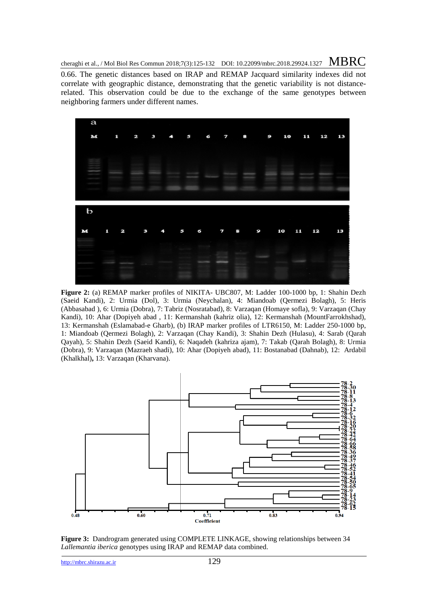0.66. The genetic distances based on IRAP and REMAP Jacquard similarity indexes did not correlate with geographic distance, demonstrating that the genetic variability is not distancerelated. This observation could be due to the exchange of the same genotypes between neighboring farmers under different names.



**Figure 2:** (a) REMAP marker profiles of NIKITA- UBC807, M: Ladder 100-1000 bp, 1: Shahin Dezh (Saeid Kandi), 2: Urmia (Dol), 3: Urmia (Neychalan), 4: Miandoab (Qermezi Bolagh), 5: Heris (Abbasabad ), 6: Urmia (Dobra), 7: Tabriz (Nosratabad), 8: Varzaqan (Homaye sofla), 9: Varzaqan (Chay Kandi), 10: Ahar (Dopiyeh abad , 11: Kermanshah (kahriz olia), 12: Kermanshah (MountFarrokhshad), 13: Kermanshah (Eslamabad-e Gharb), (b) IRAP marker profiles of LTR6150, M: Ladder 250-1000 bp, 1: Miandoab (Qermezi Bolagh), 2: Varzaqan (Chay Kandi), 3: Shahin Dezh (Hulasu), 4: Sarab (Qarah Qayah), 5: Shahin Dezh (Saeid Kandi), 6: Naqadeh (kahriza ajam), 7: Takab (Qarah Bolagh), 8: Urmia (Dobra), 9: Varzaqan (Mazraeh shadi), 10: Ahar (Dopiyeh abad), 11: Bostanabad (Dahnab), 12: Ardabil (Khalkhal)**,** 13: Varzaqan (Kharvana).



**Figure 3:** Dandrogram generated using COMPLETE LINKAGE, showing relationships between 34 *Lallemantia iberica* genotypes using IRAP and REMAP data combined.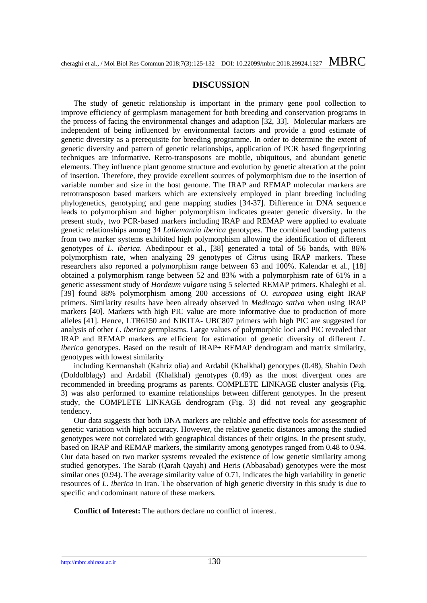## **DISCUSSION**

The study of genetic relationship is important in the primary gene pool collection to improve efficiency of germplasm management for both breeding and conservation programs in the process of facing the environmental changes and adaption [32, 33]. Molecular markers are independent of being influenced by environmental factors and provide a good estimate of genetic diversity as a prerequisite for breeding programme. In order to determine the extent of genetic diversity and pattern of genetic relationships, application of PCR based fingerprinting techniques are informative. Retro-transposons are mobile, ubiquitous, and abundant genetic elements. They influence plant genome structure and evolution by genetic alteration at the point of insertion. Therefore, they provide excellent sources of polymorphism due to the insertion of variable number and size in the host genome. The IRAP and REMAP molecular markers are retrotransposon based markers which are extensively employed in plant breeding including phylogenetics, genotyping and gene mapping studies [34-37]. Difference in DNA sequence leads to polymorphism and higher polymorphism indicates greater genetic diversity. In the present study, two PCR-based markers including IRAP and REMAP were applied to evaluate genetic relationships among 34 *Lallemantia iberica* genotypes. The combined banding patterns from two marker systems exhibited high polymorphism allowing the identification of different genotypes of *L. iberica.* Abedinpour et al., [38] generated a total of 56 bands, with 86% polymorphism rate, when analyzing 29 genotypes of *Citrus* using IRAP markers. These researchers also reported a polymorphism range between 63 and 100%. Kalendar et al., [18] obtained a polymorphism range between 52 and 83% with a polymorphism rate of 61% in a genetic assessment study of *Hordeum vulgare* using 5 selected REMAP primers. Khaleghi et al. [39] found 88% polymorphism among 200 accessions of *O. europaea* using eight IRAP primers. Similarity results have been already observed in *Medicago sativa* when using IRAP markers [40]. Markers with high PIC value are more informative due to production of more alleles [41]. Hence, LTR6150 and NIKITA**-** UBC807 primers with high PIC are suggested for analysis of other *L. iberica* germplasms. Large values of polymorphic loci and PIC revealed that IRAP and REMAP markers are efficient for estimation of genetic diversity of different *L. iberica* genotypes. Based on the result of IRAP+ REMAP dendrogram and matrix similarity, genotypes with lowest similarity

including Kermanshah (Kahriz olia) and Ardabil (Khalkhal) genotypes (0.48), Shahin Dezh (Doldolblagy) and Ardabil (Khalkhal) genotypes (0.49) as the most divergent ones are recommended in breeding programs as parents. COMPLETE LINKAGE cluster analysis (Fig. 3) was also performed to examine relationships between different genotypes. In the present study, the COMPLETE LINKAGE dendrogram (Fig. 3) did not reveal any geographic tendency.

Our data suggests that both DNA markers are reliable and effective tools for assessment of genetic variation with high accuracy. However, the relative genetic distances among the studied genotypes were not correlated with geographical distances of their origins. In the present study, based on IRAP and REMAP markers, the similarity among genotypes ranged from 0.48 to 0.94. Our data based on two marker systems revealed the existence of low genetic similarity among studied genotypes. The Sarab (Qarah Qayah) and Heris (Abbasabad) genotypes were the most similar ones (0.94). The average similarity value of 0.71, indicates the high variability in genetic resources of *L. iberica* in Iran. The observation of high genetic diversity in this study is due to specific and codominant nature of these markers.

**Conflict of Interest:** The authors declare no conflict of interest.

[http://mbrc.shirazu.ac.ir](http://mbrc.shirazu.ac.ir/) 130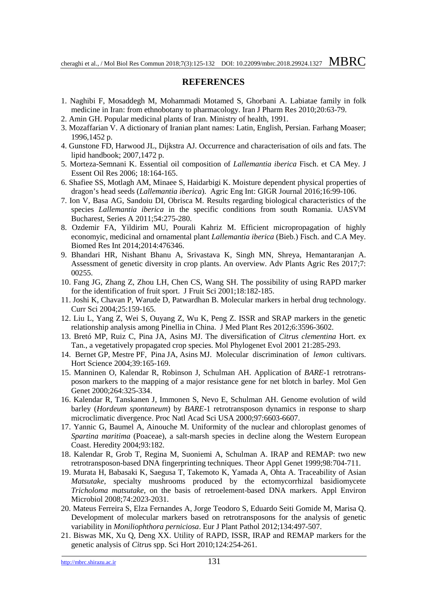#### **REFERENCES**

- 1. Naghibi F, Mosaddegh M, Mohammadi Motamed S, Ghorbani A. Labiatae family in folk medicine in Iran: from ethnobotany to pharmacology. Iran J Pharm Res 2010;20:63-79.
- 2. Amin GH. Popular medicinal plants of Iran. Ministry of health, 1991.
- 3. Mozaffarian V. A dictionary of Iranian plant names: Latin, English, Persian. Farhang Moaser; 1996,1452 p.
- 4. Gunstone FD, Harwood JL, Dijkstra AJ. Occurrence and characterisation of oils and fats. The lipid handbook; 2007,1472 p.
- 5. Morteza-Semnani K. Essential oil composition of *Lallemantia iberica* Fisch. et CA Mey. J Essent Oil Res 2006; 18:164-165.
- 6. Shafiee SS, Motlagh AM, Minaee S, Haidarbigi K. Moisture dependent physical properties of dragon's head seeds (*Lallemantia iberica*). Agric Eng Int: GIGR Journal 2016;16:99-106.
- 7. Ion V, Basa AG, Sandoiu DI, Obrisca M. Results regarding biological characteristics of the species *Lallemantia iberica* in the specific conditions from south Romania. UASVM Bucharest, Series A 2011;54:275-280.
- 8. Ozdemir FA, Yildirim MU, Pourali Kahriz M. Efficient micropropagation of highly economyic, medicinal and ornamental plant *Lallemantia iberica* (Bieb.) Fisch. and C.A Mey. Biomed Res Int 2014;2014:476346.
- 9. Bhandari HR, Nishant Bhanu A, Srivastava K, Singh MN, Shreya, Hemantaranjan A. Assessment of genetic diversity in crop plants. An overview. Adv Plants Agric Res 2017;7: 00255.
- 10. Fang JG, Zhang Z, Zhou LH, Chen CS, Wang SH. The possibility of using RAPD marker for the identification of fruit sport. J Fruit Sci 2001;18:182-185.
- 11. Joshi K, Chavan P, Warude D, Patwardhan B. Molecular markers in herbal drug technology. Curr Sci 2004;25:159-165.
- 12. Liu L, Yang Z, Wei S, Ouyang Z, Wu K, Peng Z. ISSR and SRAP markers in the genetic relationship analysis among Pinellia in China. J Med Plant Res 2012;6:3596-3602.
- 13. Bretó MP, Ruiz C, Pina JA, Asins MJ. The diversification of *Citrus clementina* Hort. ex Tan., a vegetatively propagated crop species. Mol Phylogenet Evol 2001 21:285-293.
- 14. Bernet GP, Mestre PF, Pina JA, Asins MJ. Molecular discrimination of *lemon* cultivars. Hort Science 2004;39:165-169.
- 15. Manninen O, Kalendar R, Robinson J, Schulman AH. Application of *BARE*-1 retrotransposon markers to the mapping of a major resistance gene for net blotch in barley. Mol Gen Genet 2000;264:325-334.
- 16. Kalendar R, Tanskanen J, Immonen S, Nevo E, Schulman AH. Genome evolution of wild barley (*Hordeum spontaneum*) by *BARE*-1 retrotransposon dynamics in response to sharp microclimatic divergence. Proc Natl Acad Sci USA 2000;97:6603-6607.
- 17. Yannic G, Baumel A, Ainouche M. Uniformity of the nuclear and chloroplast genomes of *Spartina maritima* (Poaceae), a salt-marsh species in decline along the Western European Coast. Heredity 2004;93:182.
- 18. Kalendar R, Grob T, Regina M, Suoniemi A, Schulman A. IRAP and REMAP: two new retrotransposon-based DNA fingerprinting techniques. Theor Appl Genet 1999;98:704-711.
- 19. Murata H, Babasaki K, Saegusa T, Takemoto K, Yamada A, Ohta A. Traceability of Asian *Matsutake*, specialty mushrooms produced by the ectomycorrhizal basidiomycete *Tricholoma matsutake*, on the basis of retroelement-based DNA markers. Appl Environ Microbiol 2008;74:2023-2031.
- 20. Mateus Ferreira S, Elza Fernandes A, Jorge Teodoro S, Eduardo Seiti Gomide M, Marisa Q. Development of molecular markers based on retrotransposons for the analysis of genetic variability in *Moniliophthora perniciosa*. Eur J Plant Pathol 2012;134:497-507.
- 21. Biswas MK, Xu Q, Deng XX. Utility of RAPD, ISSR, IRAP and REMAP markers for the genetic analysis of *Citru*s spp. Sci Hort 2010;124:254-261.